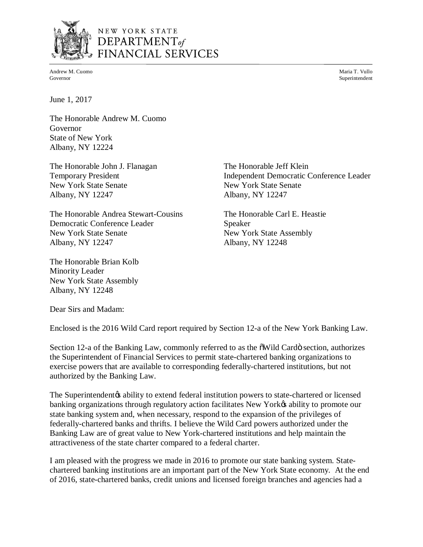

# NEW YORK STATE  $$ FINANCIAL SERVICES

Andrew M. Cuomo Maria T. Vullo November 1988 and 2008 and 2008 and 2008 and 2008 and 2008 and 2008 and 2008 and 2008 and 2008 and 2008 and 2008 and 2008 and 2008 and 2008 and 2008 and 2008 and 2008 and 2008 and 2008 and 20 Governor Superintendent Superintendent Superintendent Superintendent Superintendent Superintendent Superintendent Superintendent Superintendent Superintendent Superintendent Superintendent Superintendent Superintendent Sup

June 1, 2017

 The Honorable Andrew M. Cuomo Governor Governor<br>State of New York Albany, NY 12224

The Honorable John J. Flanagan The Honorable Jeff Klein **Temporary President** New York State Senate **New York State Senate** Albany, NY 12247 Albany, NY 12247

 The Honorable Andrea Stewart-Cousins The Honorable Carl E. Heastie **New York State Senate** Albany, NY 12247 Albany, NY 12247 Albany, NY 12248 Democratic Conference Leader Speaker

 The Honorable Brian Kolb Minority Leader New York State Assembly Albany, NY 12248

The Honorable Jeff Klein Albany, NY 12247 Independent Democratic Conference Leader

The Honorable Carl E. Heastie New York State Assembly

Dear Sirs and Madam:

Enclosed is the 2016 Wild Card report required by Section 12-a of the New York Banking Law.

Section 12-a of the Banking Law, commonly referred to as the  $\tilde{\text{o}}$ Wild Cardö section, authorizes the Superintendent of Financial Services to permit state-chartered banking organizations to exercise powers that are available to corresponding federally-chartered institutions, but not authorized by the Banking Law.

authorized by the Banking Law.<br>The Superintendent¢ ability to extend federal institution powers to state-chartered or licensed banking organizations through regulatory action facilitates New York $\alpha$  ability to promote our state banking system and, when necessary, respond to the expansion of the privileges of federally-chartered banks and thrifts. I believe the Wild Card powers authorized under the attractiveness of the state charter compared to a federal charter. Banking Law are of great value to New York-chartered institutions and help maintain the

 I am pleased with the progress we made in 2016 to promote our state banking system. State- chartered banking institutions are an important part of the New York State economy. At the end of 2016, state-chartered banks, credit unions and licensed foreign branches and agencies had a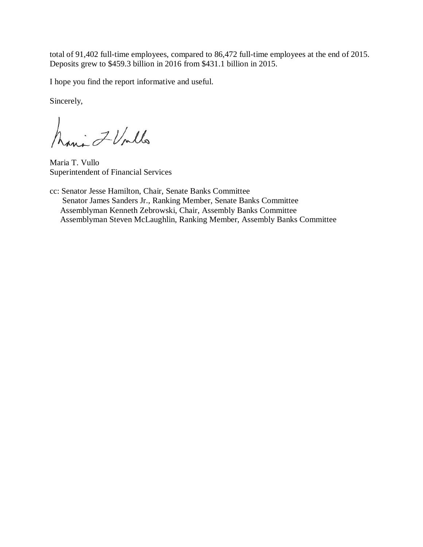total of 91,402 full-time employees, compared to 86,472 full-time employees at the end of 2015. Deposits grew to \$459.3 billion in 2016 from \$431.1 billion in 2015.

I hope you find the report informative and useful.

Sincerely,

Maria Z Vollo

Maria T. Vullo Superintendent of Financial Services

 cc: Senator Jesse Hamilton, Chair, Senate Banks Committee Senator James Sanders Jr., Ranking Member, Senate Banks Committee Assemblyman Kenneth Zebrowski, Chair, Assembly Banks Committee Assemblyman Steven McLaughlin, Ranking Member, Assembly Banks Committee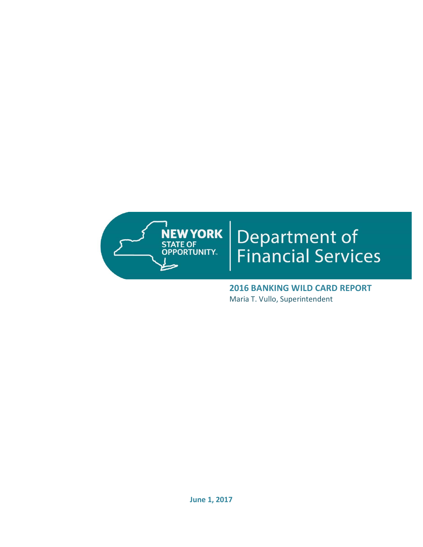

# Department of<br>Financial Services

 **2016 BANKING WILD CARD REPORT**  Maria T. Vullo, Superintendent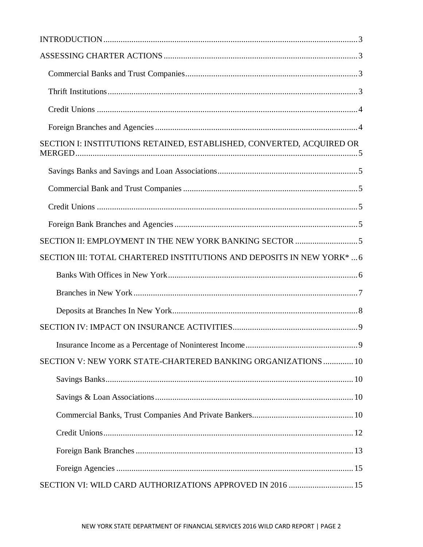| SECTION I: INSTITUTIONS RETAINED, ESTABLISHED, CONVERTED, ACQUIRED OR  |
|------------------------------------------------------------------------|
|                                                                        |
|                                                                        |
|                                                                        |
|                                                                        |
|                                                                        |
| SECTION III: TOTAL CHARTERED INSTITUTIONS AND DEPOSITS IN NEW YORK*  6 |
|                                                                        |
|                                                                        |
|                                                                        |
|                                                                        |
|                                                                        |
| SECTION V: NEW YORK STATE-CHARTERED BANKING ORGANIZATIONS  10          |
|                                                                        |
|                                                                        |
|                                                                        |
|                                                                        |
|                                                                        |
|                                                                        |
| SECTION VI: WILD CARD AUTHORIZATIONS APPROVED IN 2016  15              |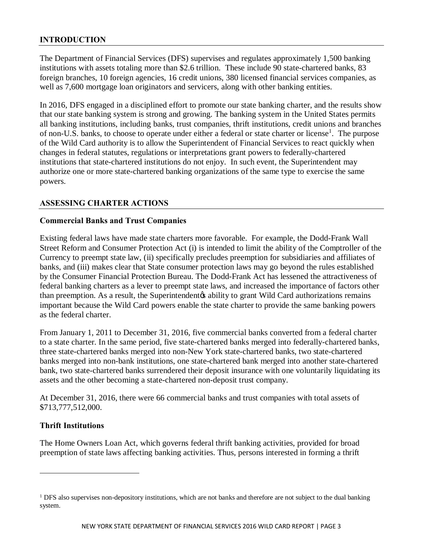# **INTRODUCTION**

 The Department of Financial Services (DFS) supervises and regulates approximately 1,500 banking institutions with assets totaling more than \$2.6 trillion. These include 90 state-chartered banks, 83 foreign branches, 10 foreign agencies, 16 credit unions, 380 licensed financial services companies, as well as 7,600 mortgage loan originators and servicers, along with other banking entities.

 In 2016, DFS engaged in a disciplined effort to promote our state banking charter, and the results show that our state banking system is strong and growing. The banking system in the United States permits all banking institutions, including banks, trust companies, thrift institutions, credit unions and branches of non-U.S. banks, to choose to operate under either a federal or state charter or license<sup>1</sup>. The purpose of the Wild Card authority is to allow the Superintendent of Financial Services to react quickly when changes in federal statutes, regulations or interpretations grant powers to federally-chartered institutions that state-chartered institutions do not enjoy. In such event, the Superintendent may authorize one or more state-chartered banking organizations of the same type to exercise the same powers.

# **ASSESSING CHARTER ACTIONS**

## **Commercial Banks and Trust Companies**

 Existing federal laws have made state charters more favorable. For example, the Dodd-Frank Wall Street Reform and Consumer Protection Act (i) is intended to limit the ability of the Comptroller of the Currency to preempt state law, (ii) specifically precludes preemption for subsidiaries and affiliates of banks, and (iii) makes clear that State consumer protection laws may go beyond the rules established by the Consumer Financial Protection Bureau. The Dodd-Frank Act has lessened the attractiveness of federal banking charters as a lever to preempt state laws, and increased the importance of factors other than preemption. As a result, the Superintendent to ability to grant Wild Card authorizations remains as the federal charter. important because the Wild Card powers enable the state charter to provide the same banking powers

 From January 1, 2011 to December 31, 2016, five commercial banks converted from a federal charter to a state charter. In the same period, five state-chartered banks merged into federally-chartered banks, three state-chartered banks merged into non-New York state-chartered banks, two state-chartered banks merged into non-bank institutions, one state-chartered bank merged into another state-chartered bank, two state-chartered banks surrendered their deposit insurance with one voluntarily liquidating its assets and the other becoming a state-chartered non-deposit trust company.

 At December 31, 2016, there were 66 commercial banks and trust companies with total assets of \$713,777,512,000.

# **Thrift Institutions**

<u>.</u>

 The Home Owners Loan Act, which governs federal thrift banking activities, provided for broad preemption of state laws affecting banking activities. Thus, persons interested in forming a thrift

<sup>&</sup>lt;sup>1</sup> DFS also supervises non-depository institutions, which are not banks and therefore are not subject to the dual banking system.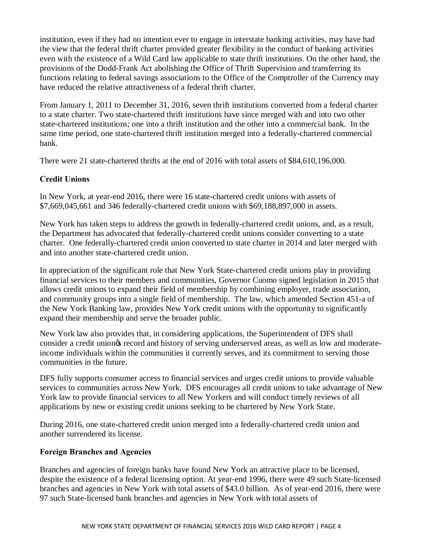institution, even if they had no intention ever to engage in interstate banking activities, may have had the view that the federal thrift charter provided greater flexibility in the conduct of banking activities even with the existence of a Wild Card law applicable to state thrift institutions. On the other hand, the provisions of the Dodd-Frank Act abolishing the Office of Thrift Supervision and transferring its functions relating to federal savings associations to the Office of the Comptroller of the Currency may have reduced the relative attractiveness of a federal thrift charter.

 From January 1, 2011 to December 31, 2016, seven thrift institutions converted from a federal charter to a state charter. Two state-chartered thrift institutions have since merged with and into two other state-chartered institutions; one into a thrift institution and the other into a commercial bank. In the same time period, one state-chartered thrift institution merged into a federally-chartered commercial bank.

There were 21 state-chartered thrifts at the end of 2016 with total assets of \$84,610,196,000.

# **Credit Unions**

 In New York, at year-end 2016, there were 16 state-chartered credit unions with assets of \$7,669,045,661 and 346 federally-chartered credit unions with \$69,188,897,000 in assets.

 New York has taken steps to address the growth in federally-chartered credit unions, and, as a result, the Department has advocated that federally-chartered credit unions consider converting to a state charter. One federally-chartered credit union converted to state charter in 2014 and later merged with and into another state-chartered credit union.

 In appreciation of the significant role that New York State-chartered credit unions play in providing financial services to their members and communities, Governor Cuomo signed legislation in 2015 that allows credit unions to expand their field of membership by combining employer, trade association, and community groups into a single field of membership. The law, which amended Section 451-a of the New York Banking law, provides New York credit unions with the opportunity to significantly expand their membership and serve the broader public.

 New York law also provides that, in considering applications, the Superintendent of DFS shall consider a credit uniongs record and history of serving underserved areas, as well as low and moderate- income individuals within the communities it currently serves, and its commitment to serving those communities in the future.

 DFS fully supports consumer access to financial services and urges credit unions to provide valuable services to communities across New York. DFS encourages all credit unions to take advantage of New York law to provide financial services to all New Yorkers and will conduct timely reviews of all applications by new or existing credit unions seeking to be chartered by New York State.

 During 2016, one state-chartered credit union merged into a federally-chartered credit union and another surrendered its license.

# **Foreign Branches and Agencies**

 Branches and agencies of foreign banks have found New York an attractive place to be licensed, despite the existence of a federal licensing option. At year-end 1996, there were 49 such State-licensed branches and agencies in New York with total assets of \$43.0 billion. As of year-end 2016, there were 97 such State-licensed bank branches and agencies in New York with total assets of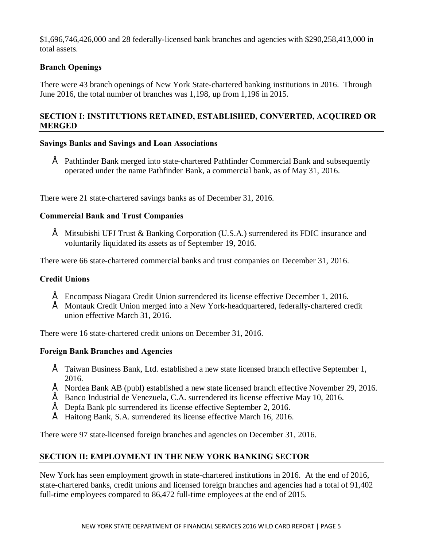\$1,696,746,426,000 and 28 federally-licensed bank branches and agencies with \$290,258,413,000 in total assets.

# **Branch Openings**

 There were 43 branch openings of New York State-chartered banking institutions in 2016. Through June 2016, the total number of branches was 1,198, up from 1,196 in 2015.

# **MERGED SECTION I: INSTITUTIONS RETAINED, ESTABLISHED, CONVERTED, ACQUIRED OR**

# **MERGED Savings Banks and Savings and Loan Associations**

 • Pathfinder Bank merged into state-chartered Pathfinder Commercial Bank and subsequently operated under the name Pathfinder Bank, a commercial bank, as of May 31, 2016.

There were 21 state-chartered savings banks as of December 31, 2016.

## **Commercial Bank and Trust Companies**

 • Mitsubishi UFJ Trust & Banking Corporation (U.S.A.) surrendered its FDIC insurance and voluntarily liquidated its assets as of September 19, 2016.

There were 66 state-chartered commercial banks and trust companies on December 31, 2016.

# **Credit Unions**

- Encompass Niagara Credit Union surrendered its license effective December 1, 2016.
- • Montauk Credit Union merged into a New York-headquartered, federally-chartered credit union effective March 31, 2016.

There were 16 state-chartered credit unions on December 31, 2016.

# **Foreign Bank Branches and Agencies**

- • Taiwan Business Bank, Ltd. established a new state licensed branch effective September 1, 2016.
- Nordea Bank AB (publ) established a new state licensed branch effective November 29, 2016.
- $\acute{E}$  Banco Industrial de Venezuela, C.A. surrendered its license effective May 10, 2016.
- $\acute{E}$  Depfa Bank plc surrendered its license effective September 2, 2016.
- Haitong Bank, S.A. surrendered its license effective March 16, 2016.

There were 97 state-licensed foreign branches and agencies on December 31, 2016.

# **SECTION II: EMPLOYMENT IN THE NEW YORK BANKING SECTOR**

 New York has seen employment growth in state-chartered institutions in 2016. At the end of 2016, state-chartered banks, credit unions and licensed foreign branches and agencies had a total of 91,402 full-time employees compared to 86,472 full-time employees at the end of 2015.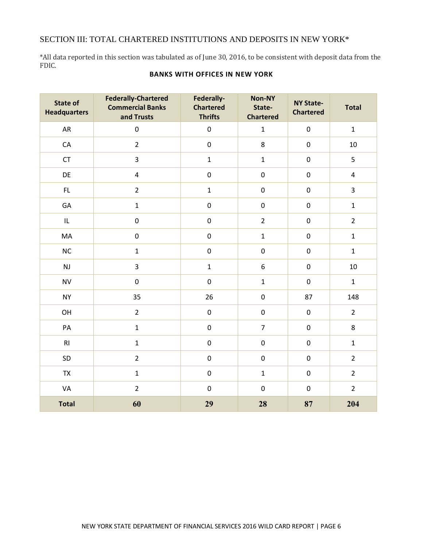#### SECTION III: TOTAL CHARTERED INSTITUTIONS AND DEPOSITS IN NEW YORK\*

 \*All data reported in this section was tabulated as of June 30, 2016, to be consistent with deposit data from the FDIC.

| <b>State of</b><br><b>Headquarters</b> | <b>Federally-Chartered</b><br><b>Commercial Banks</b><br>and Trusts | Federally-<br><b>Chartered</b><br><b>Thrifts</b> | Non-NY<br>State-<br><b>Chartered</b> | <b>NY State-</b><br><b>Chartered</b> | <b>Total</b>            |
|----------------------------------------|---------------------------------------------------------------------|--------------------------------------------------|--------------------------------------|--------------------------------------|-------------------------|
| AR                                     | $\mathbf 0$                                                         | $\pmb{0}$                                        | $\mathbf{1}$                         | $\pmb{0}$                            | $\mathbf{1}$            |
| ${\sf CA}$                             | $\overline{2}$                                                      | $\pmb{0}$                                        | 8                                    | $\pmb{0}$                            | 10                      |
| CT                                     | $\overline{3}$                                                      | $\mathbf 1$                                      | $\mathbf 1$                          | $\pmb{0}$                            | 5                       |
| DE                                     | $\overline{4}$                                                      | $\pmb{0}$                                        | $\pmb{0}$                            | $\pmb{0}$                            | $\overline{\mathbf{4}}$ |
| FL                                     | $\overline{2}$                                                      | $\mathbf 1$                                      | $\boldsymbol{0}$                     | $\boldsymbol{0}$                     | $\overline{\mathbf{3}}$ |
| GA                                     | $\mathbf{1}$                                                        | $\pmb{0}$                                        | $\pmb{0}$                            | $\pmb{0}$                            | $\mathbf{1}$            |
| IL                                     | $\pmb{0}$                                                           | $\pmb{0}$                                        | $\overline{2}$                       | $\pmb{0}$                            | $\overline{2}$          |
| MA                                     | $\pmb{0}$                                                           | $\pmb{0}$                                        | $\mathbf 1$                          | $\boldsymbol{0}$                     | $\mathbf{1}$            |
| $NC$                                   | $\mathbf{1}$                                                        | $\pmb{0}$                                        | $\pmb{0}$                            | $\pmb{0}$                            | $\mathbf{1}$            |
| NJ                                     | $\overline{3}$                                                      | $\mathbf 1$                                      | 6                                    | $\pmb{0}$                            | 10                      |
| <b>NV</b>                              | $\pmb{0}$                                                           | $\pmb{0}$                                        | $\mathbf 1$                          | $\pmb{0}$                            | $\mathbf{1}$            |
| <b>NY</b>                              | 35                                                                  | 26                                               | $\pmb{0}$                            | 87                                   | 148                     |
| OH                                     | $\overline{2}$                                                      | $\pmb{0}$                                        | $\boldsymbol{0}$                     | $\pmb{0}$                            | $\overline{2}$          |
| $\mathsf{PA}$                          | $\mathbf{1}$                                                        | $\pmb{0}$                                        | $\overline{7}$                       | $\boldsymbol{0}$                     | 8                       |
| RI                                     | $\mathbf{1}$                                                        | $\pmb{0}$                                        | $\pmb{0}$                            | $\boldsymbol{0}$                     | $\mathbf{1}$            |
| SD                                     | $\overline{2}$                                                      | $\pmb{0}$                                        | $\boldsymbol{0}$                     | $\pmb{0}$                            | $\overline{2}$          |
| TX                                     | $\mathbf 1$                                                         | $\pmb{0}$                                        | $\mathbf 1$                          | $\pmb{0}$                            | $\overline{2}$          |
| VA                                     | $\overline{2}$                                                      | $\boldsymbol{0}$                                 | $\pmb{0}$                            | $\pmb{0}$                            | $\overline{2}$          |
| <b>Total</b>                           | 60                                                                  | 29                                               | 28                                   | 87                                   | 204                     |

#### **BANKS WITH OFFICES IN NEW YORK**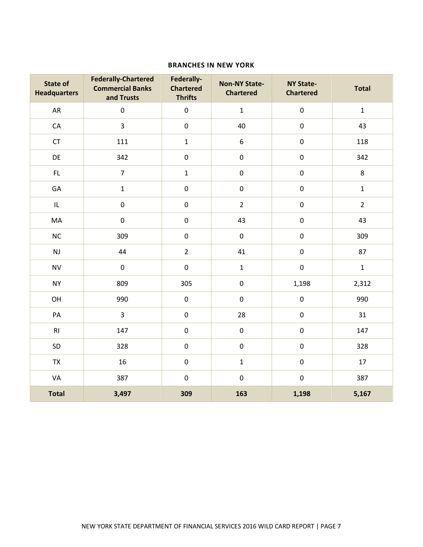#### **BRANCHES IN NEW YORK**

| <b>State of</b><br><b>Headquarters</b> | <b>Federally-Chartered</b><br><b>Commercial Banks</b><br>and Trusts | Federally-<br><b>Chartered</b><br><b>Thrifts</b> | <b>Non-NY State-</b><br><b>Chartered</b> | <b>NY State-</b><br><b>Chartered</b> | <b>Total</b>   |
|----------------------------------------|---------------------------------------------------------------------|--------------------------------------------------|------------------------------------------|--------------------------------------|----------------|
| AR                                     | $\boldsymbol{0}$                                                    | $\pmb{0}$                                        | $\mathbf 1$                              | $\pmb{0}$                            | $\mathbf 1$    |
| CA                                     | 3                                                                   | $\boldsymbol{0}$                                 | 40                                       | $\pmb{0}$                            | 43             |
| CT                                     | 111                                                                 | $\mathbf 1$                                      | $\boldsymbol{6}$                         | $\pmb{0}$                            | 118            |
| DE                                     | 342                                                                 | $\pmb{0}$                                        | $\pmb{0}$                                | $\pmb{0}$                            | 342            |
| $\mathsf{FL}$                          | $\overline{7}$                                                      | $\mathbf 1$                                      | $\boldsymbol{0}$                         | $\pmb{0}$                            | 8              |
| GA                                     | $\mathbf 1$                                                         | $\boldsymbol{0}$                                 | $\pmb{0}$                                | $\pmb{0}$                            | $\mathbf 1$    |
| $\mathsf{IL}$                          | $\pmb{0}$                                                           | $\pmb{0}$                                        | $\overline{2}$                           | $\pmb{0}$                            | $\overline{2}$ |
| MA                                     | $\boldsymbol{0}$                                                    | $\boldsymbol{0}$                                 | 43                                       | $\pmb{0}$                            | 43             |
| NC                                     | 309                                                                 | $\pmb{0}$                                        | $\pmb{0}$                                | $\pmb{0}$                            | 309            |
| NJ                                     | 44                                                                  | $\overline{2}$                                   | 41                                       | $\pmb{0}$                            | 87             |
| <b>NV</b>                              | $\boldsymbol{0}$                                                    | $\boldsymbol{0}$                                 | $\mathbf 1$                              | $\pmb{0}$                            | $\mathbf 1$    |
| <b>NY</b>                              | 809                                                                 | 305                                              | $\pmb{0}$                                | 1,198                                | 2,312          |
| OH                                     | 990                                                                 | $\pmb{0}$                                        | $\pmb{0}$                                | $\pmb{0}$                            | 990            |
| PA                                     | $\overline{3}$                                                      | $\boldsymbol{0}$                                 | 28                                       | $\pmb{0}$                            | 31             |
| RI                                     | 147                                                                 | $\boldsymbol{0}$                                 | $\pmb{0}$                                | $\pmb{0}$                            | 147            |
| SD                                     | 328                                                                 | $\pmb{0}$                                        | $\boldsymbol{0}$                         | $\pmb{0}$                            | 328            |
| <b>TX</b>                              | 16                                                                  | $\pmb{0}$                                        | $\mathbf 1$                              | $\pmb{0}$                            | 17             |
| VA                                     | 387                                                                 | $\boldsymbol{0}$                                 | $\pmb{0}$                                | $\pmb{0}$                            | 387            |
| <b>Total</b>                           | 3,497                                                               | 309                                              | 163                                      | 1,198                                | 5,167          |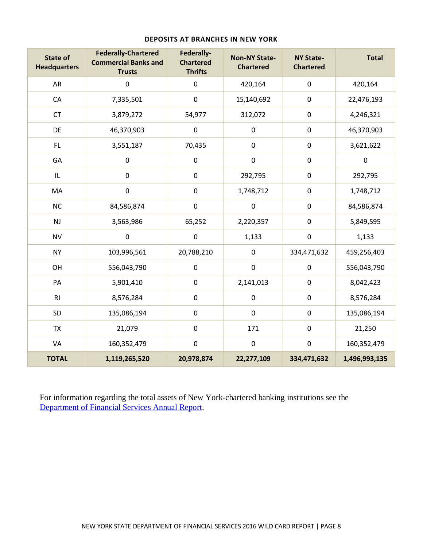| <b>State of</b><br><b>Headquarters</b> | <b>Federally-Chartered</b><br><b>Commercial Banks and</b><br><b>Trusts</b> | Federally-<br><b>Chartered</b><br><b>Thrifts</b> | <b>Non-NY State-</b><br><b>Chartered</b> | <b>NY State-</b><br><b>Chartered</b> | <b>Total</b>  |
|----------------------------------------|----------------------------------------------------------------------------|--------------------------------------------------|------------------------------------------|--------------------------------------|---------------|
| AR                                     | $\pmb{0}$                                                                  | $\boldsymbol{0}$                                 | 420,164                                  | $\pmb{0}$                            | 420,164       |
| CA                                     | 7,335,501                                                                  | $\pmb{0}$                                        | 15,140,692                               | $\pmb{0}$                            | 22,476,193    |
| <b>CT</b>                              | 3,879,272                                                                  | 54,977                                           | 312,072                                  | $\boldsymbol{0}$                     | 4,246,321     |
| DE                                     | 46,370,903                                                                 | $\pmb{0}$                                        | $\pmb{0}$                                | $\pmb{0}$                            | 46,370,903    |
| FL.                                    | 3,551,187                                                                  | 70,435                                           | $\pmb{0}$                                | $\boldsymbol{0}$                     | 3,621,622     |
| GA                                     | $\pmb{0}$                                                                  | $\boldsymbol{0}$                                 | $\pmb{0}$                                | $\mathbf 0$                          | $\pmb{0}$     |
| IL                                     | $\mathbf 0$                                                                | $\boldsymbol{0}$                                 | 292,795                                  | $\pmb{0}$                            | 292,795       |
| MA                                     | $\boldsymbol{0}$                                                           | $\boldsymbol{0}$                                 | 1,748,712                                | $\pmb{0}$                            | 1,748,712     |
| <b>NC</b>                              | 84,586,874                                                                 | $\boldsymbol{0}$                                 | $\pmb{0}$                                | $\pmb{0}$                            | 84,586,874    |
| NJ                                     | 3,563,986                                                                  | 65,252                                           | 2,220,357                                | $\pmb{0}$                            | 5,849,595     |
| <b>NV</b>                              | $\pmb{0}$                                                                  | $\boldsymbol{0}$                                 | 1,133                                    | $\boldsymbol{0}$                     | 1,133         |
| <b>NY</b>                              | 103,996,561                                                                | 20,788,210                                       | $\pmb{0}$                                | 334,471,632                          | 459,256,403   |
| OH                                     | 556,043,790                                                                | $\boldsymbol{0}$                                 | $\pmb{0}$                                | $\boldsymbol{0}$                     | 556,043,790   |
| PA                                     | 5,901,410                                                                  | $\pmb{0}$                                        | 2,141,013                                | $\boldsymbol{0}$                     | 8,042,423     |
| RI                                     | 8,576,284                                                                  | $\pmb{0}$                                        | $\pmb{0}$                                | $\pmb{0}$                            | 8,576,284     |
| SD                                     | 135,086,194                                                                | $\pmb{0}$                                        | $\boldsymbol{0}$                         | $\pmb{0}$                            | 135,086,194   |
| <b>TX</b>                              | 21,079                                                                     | $\boldsymbol{0}$                                 | 171                                      | $\pmb{0}$                            | 21,250        |
| VA                                     | 160,352,479                                                                | $\boldsymbol{0}$                                 | $\pmb{0}$                                | $\pmb{0}$                            | 160,352,479   |
| <b>TOTAL</b>                           | 1,119,265,520                                                              | 20,978,874                                       | 22,277,109                               | 334,471,632                          | 1,496,993,135 |

#### **DEPOSITS AT BRANCHES IN NEW YORK**

 For information regarding the total assets of New York-chartered banking institutions see the Department of Financial Services Annual Report.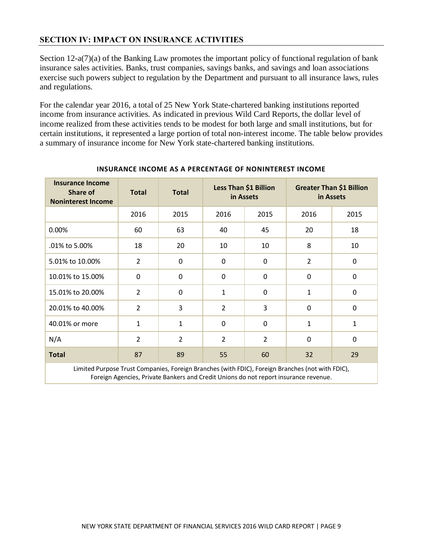# **SECTION IV: IMPACT ON INSURANCE ACTIVITIES**

Section 12-a(7)(a) of the Banking Law promotes the important policy of functional regulation of bank insurance sales activities. Banks, trust companies, savings banks, and savings and loan associations exercise such powers subject to regulation by the Department and pursuant to all insurance laws, rules and regulations.

and regulations.<br>For the calendar year 2016, a total of 25 New York State-chartered banking institutions reported income from insurance activities. As indicated in previous Wild Card Reports, the dollar level of income realized from these activities tends to be modest for both large and small institutions, but for certain institutions, it represented a large portion of total non-interest income. The table below provides a summary of insurance income for New York state-chartered banking institutions.

| <b>Insurance Income</b><br><b>Share of</b><br><b>Noninterest Income</b>                         | <b>Total</b>   | <b>Total</b>   | Less Than \$1 Billion<br>in Assets |                | <b>Greater Than \$1 Billion</b><br>in Assets |          |  |
|-------------------------------------------------------------------------------------------------|----------------|----------------|------------------------------------|----------------|----------------------------------------------|----------|--|
|                                                                                                 | 2016           | 2015           | 2016                               | 2015           | 2016                                         | 2015     |  |
| 0.00%                                                                                           | 60             | 63             | 40                                 | 45             | 20                                           | 18       |  |
| .01% to 5.00%                                                                                   | 18             | 20             | 10                                 | 10             | 8                                            | 10       |  |
| 5.01% to 10.00%                                                                                 | $\overline{2}$ | 0              | 0                                  | $\Omega$       | $\overline{2}$                               | $\Omega$ |  |
| 10.01% to 15.00%                                                                                | $\mathbf{0}$   | $\mathbf 0$    | 0                                  | $\Omega$       | $\mathbf 0$                                  | $\Omega$ |  |
| 15.01% to 20.00%                                                                                | $\overline{2}$ | 0              | 1                                  | $\Omega$       | 1                                            | $\Omega$ |  |
| 20.01% to 40.00%                                                                                | $\overline{2}$ | 3              | $\overline{2}$                     | 3              | $\mathbf 0$                                  | $\Omega$ |  |
| 40.01% or more                                                                                  | $\mathbf{1}$   | $\mathbf{1}$   | 0                                  | $\Omega$       | 1                                            | 1        |  |
| N/A                                                                                             | $\overline{2}$ | $\overline{2}$ | $\overline{2}$                     | $\overline{2}$ | $\mathbf 0$                                  | $\Omega$ |  |
| <b>Total</b>                                                                                    | 87             | 89             | 55                                 | 60             | 32                                           | 29       |  |
| Limited Purnose Trust Companies, Foreign Branches (with FDIC), Foreign Branches (not with FDIC) |                |                |                                    |                |                                              |          |  |

#### **INSURANCE INCOME AS A PERCENTAGE OF NONINTEREST INCOME**

 Limited Purpose Trust Companies, Foreign Branches (with FDIC), Foreign Branches (not with FDIC), Foreign Agencies, Private Bankers and Credit Unions do not report insurance revenue.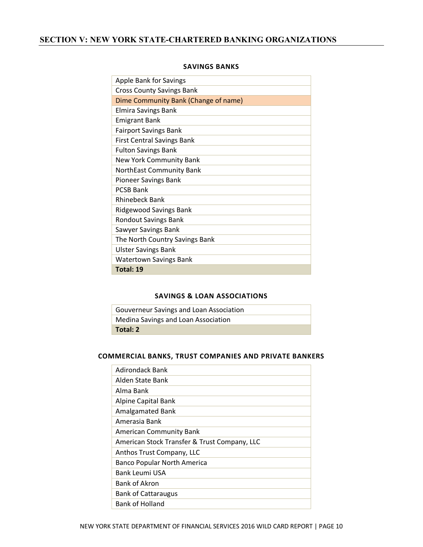# **SECTION V: NEW YORK STATE-CHARTERED BANKING ORGANIZATIONS**

| <b>Apple Bank for Savings</b>        |
|--------------------------------------|
| <b>Cross County Savings Bank</b>     |
| Dime Community Bank (Change of name) |
| <b>Elmira Savings Bank</b>           |
| <b>Emigrant Bank</b>                 |
| <b>Fairport Savings Bank</b>         |
| <b>First Central Savings Bank</b>    |
| <b>Fulton Savings Bank</b>           |
| New York Community Bank              |
| NorthEast Community Bank             |
| Pioneer Savings Bank                 |
| <b>PCSB Bank</b>                     |
| <b>Rhinebeck Bank</b>                |
| <b>Ridgewood Savings Bank</b>        |
| <b>Rondout Savings Bank</b>          |
| Sawyer Savings Bank                  |
| The North Country Savings Bank       |
| <b>Ulster Savings Bank</b>           |
| <b>Watertown Savings Bank</b>        |
| Total: 19                            |

#### **SAVINGS BANKS**

#### **SAVINGS & LOAN ASSOCIATIONS**

| Gouverneur Savings and Loan Association |
|-----------------------------------------|
| Medina Savings and Loan Association     |
| Total: 2                                |

#### **COMMERCIAL BANKS, TRUST COMPANIES AND PRIVATE BANKERS**

| <b>Adirondack Bank</b>                       |
|----------------------------------------------|
| Alden State Bank                             |
| Alma Bank                                    |
| <b>Alpine Capital Bank</b>                   |
| <b>Amalgamated Bank</b>                      |
| Amerasia Bank                                |
| <b>American Community Bank</b>               |
| American Stock Transfer & Trust Company, LLC |
| Anthos Trust Company, LLC                    |
| Banco Popular North America                  |
| Bank Leumi USA                               |
| Bank of Akron                                |
| <b>Bank of Cattaraugus</b>                   |
| <b>Bank of Holland</b>                       |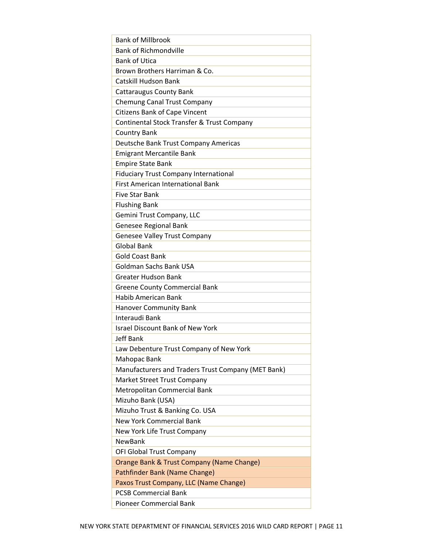| <b>Bank of Millbrook</b>                                      |
|---------------------------------------------------------------|
| <b>Bank of Richmondville</b>                                  |
| <b>Bank of Utica</b>                                          |
| Brown Brothers Harriman & Co.                                 |
| Catskill Hudson Bank                                          |
| <b>Cattaraugus County Bank</b>                                |
| <b>Chemung Canal Trust Company</b>                            |
| <b>Citizens Bank of Cape Vincent</b>                          |
| Continental Stock Transfer & Trust Company                    |
| <b>Country Bank</b>                                           |
| Deutsche Bank Trust Company Americas                          |
| <b>Emigrant Mercantile Bank</b>                               |
| <b>Empire State Bank</b>                                      |
| <b>Fiduciary Trust Company International</b>                  |
| <b>First American International Bank</b>                      |
| <b>Five Star Bank</b>                                         |
| <b>Flushing Bank</b>                                          |
| Gemini Trust Company, LLC                                     |
| Genesee Regional Bank                                         |
| <b>Genesee Valley Trust Company</b>                           |
| <b>Global Bank</b>                                            |
| <b>Gold Coast Bank</b>                                        |
| Goldman Sachs Bank USA                                        |
| <b>Greater Hudson Bank</b>                                    |
| <b>Greene County Commercial Bank</b>                          |
| <b>Habib American Bank</b>                                    |
| <b>Hanover Community Bank</b>                                 |
| Interaudi Bank                                                |
| <b>Israel Discount Bank of New York</b>                       |
| <b>Jeff Bank</b>                                              |
| Law Debenture Trust Company of New York                       |
| Mahopac Bank                                                  |
| Manufacturers and Traders Trust Company (MET Bank)            |
| Market Street Trust Company                                   |
| Metropolitan Commercial Bank                                  |
| Mizuho Bank (USA)                                             |
| Mizuho Trust & Banking Co. USA                                |
| <b>New York Commercial Bank</b>                               |
| New York Life Trust Company                                   |
| <b>NewBank</b>                                                |
| OFI Global Trust Company                                      |
| Orange Bank & Trust Company (Name Change)                     |
| Pathfinder Bank (Name Change)                                 |
| Paxos Trust Company, LLC (Name Change)                        |
|                                                               |
|                                                               |
| <b>PCSB Commercial Bank</b><br><b>Pioneer Commercial Bank</b> |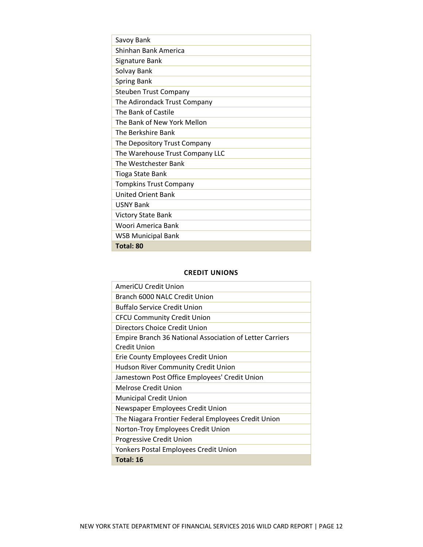| Savoy Bank                      |
|---------------------------------|
| Shinhan Bank America            |
| Signature Bank                  |
| Solvay Bank                     |
| <b>Spring Bank</b>              |
| <b>Steuben Trust Company</b>    |
| The Adirondack Trust Company    |
| The Bank of Castile             |
| The Bank of New York Mellon     |
| The Berkshire Bank              |
| The Depository Trust Company    |
| The Warehouse Trust Company LLC |
| The Westchester Bank            |
| Tioga State Bank                |
| <b>Tompkins Trust Company</b>   |
| <b>United Orient Bank</b>       |
| <b>USNY Bank</b>                |
| <b>Victory State Bank</b>       |
| Woori America Bank              |
| <b>WSB Municipal Bank</b>       |
| Total: 80                       |

#### **CREDIT UNIONS**

| AmeriCU Credit Union                                     |
|----------------------------------------------------------|
| Branch 6000 NALC Credit Union                            |
| <b>Buffalo Service Credit Union</b>                      |
| <b>CFCU Community Credit Union</b>                       |
| Directors Choice Credit Union                            |
| Empire Branch 36 National Association of Letter Carriers |
| Credit Union                                             |
| Erie County Employees Credit Union                       |
| Hudson River Community Credit Union                      |
| Jamestown Post Office Employees' Credit Union            |
| Melrose Credit Union                                     |
| <b>Municipal Credit Union</b>                            |
| Newspaper Employees Credit Union                         |
| The Niagara Frontier Federal Employees Credit Union      |
| Norton-Troy Employees Credit Union                       |
| Progressive Credit Union                                 |
| Yonkers Postal Employees Credit Union                    |
| Total: 16                                                |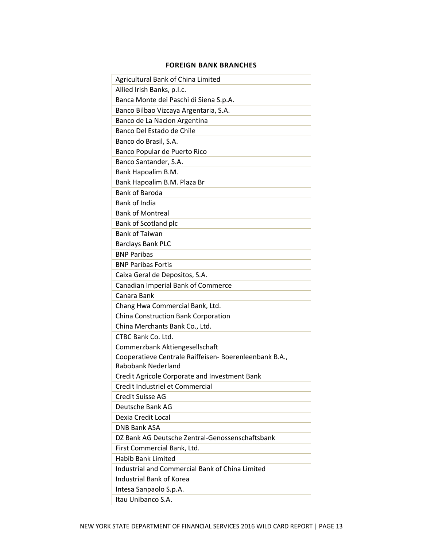#### **FOREIGN BANK BRANCHES**

| Agricultural Bank of China Limited                     |
|--------------------------------------------------------|
| Allied Irish Banks, p.l.c.                             |
| Banca Monte dei Paschi di Siena S.p.A.                 |
| Banco Bilbao Vizcaya Argentaria, S.A.                  |
| Banco de La Nacion Argentina                           |
| Banco Del Estado de Chile                              |
| Banco do Brasil, S.A.                                  |
| Banco Popular de Puerto Rico                           |
| Banco Santander, S.A.                                  |
| Bank Hapoalim B.M.                                     |
| Bank Hapoalim B.M. Plaza Br                            |
| <b>Bank of Baroda</b>                                  |
| <b>Bank of India</b>                                   |
| <b>Bank of Montreal</b>                                |
| Bank of Scotland plc                                   |
| <b>Bank of Taiwan</b>                                  |
| <b>Barclays Bank PLC</b>                               |
| <b>BNP Paribas</b>                                     |
| <b>BNP Paribas Fortis</b>                              |
| Caixa Geral de Depositos, S.A.                         |
| Canadian Imperial Bank of Commerce                     |
| Canara Bank                                            |
| Chang Hwa Commercial Bank, Ltd.                        |
| China Construction Bank Corporation                    |
| China Merchants Bank Co., Ltd.                         |
| CTBC Bank Co. Ltd.                                     |
| Commerzbank Aktiengesellschaft                         |
| Cooperatieve Centrale Raiffeisen- Boerenleenbank B.A., |
| <b>Rabobank Nederland</b>                              |
| Credit Agricole Corporate and Investment Bank          |
| Credit Industriel et Commercial                        |
| <b>Credit Suisse AG</b>                                |
| Deutsche Bank AG                                       |
| Dexia Credit Local                                     |
| <b>DNB Bank ASA</b>                                    |
| DZ Bank AG Deutsche Zentral-Genossenschaftsbank        |
| First Commercial Bank, Ltd.                            |
| <b>Habib Bank Limited</b>                              |
| Industrial and Commercial Bank of China Limited        |
| <b>Industrial Bank of Korea</b>                        |
| Intesa Sanpaolo S.p.A.                                 |
| Itau Unibanco S.A.                                     |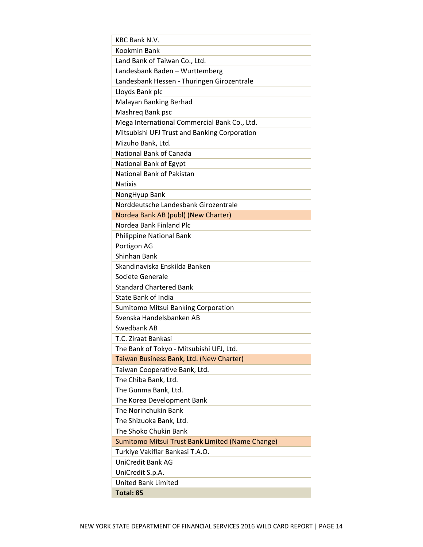| <b>KBC Bank N.V.</b>                             |
|--------------------------------------------------|
| <b>Kookmin Bank</b>                              |
| Land Bank of Taiwan Co., Ltd.                    |
| Landesbank Baden - Wurttemberg                   |
| Landesbank Hessen - Thuringen Girozentrale       |
| Lloyds Bank plc                                  |
| Malayan Banking Berhad                           |
| Mashreg Bank psc                                 |
| Mega International Commercial Bank Co., Ltd.     |
| Mitsubishi UFJ Trust and Banking Corporation     |
| Mizuho Bank, Ltd.                                |
| <b>National Bank of Canada</b>                   |
| National Bank of Egypt                           |
| National Bank of Pakistan                        |
| <b>Natixis</b>                                   |
| NongHyup Bank                                    |
| Norddeutsche Landesbank Girozentrale             |
| Nordea Bank AB (publ) (New Charter)              |
| Nordea Bank Finland Plc                          |
| <b>Philippine National Bank</b>                  |
| Portigon AG                                      |
| Shinhan Bank                                     |
| Skandinaviska Enskilda Banken                    |
| Societe Generale                                 |
| <b>Standard Chartered Bank</b>                   |
| <b>State Bank of India</b>                       |
| Sumitomo Mitsui Banking Corporation              |
| Svenska Handelsbanken AB                         |
| Swedbank AB                                      |
| T.C. Ziraat Bankasi                              |
| The Bank of Tokyo - Mitsubishi UFJ, Ltd.         |
| Taiwan Business Bank, Ltd. (New Charter)         |
| Taiwan Cooperative Bank, Ltd.                    |
| The Chiba Bank, Ltd.                             |
| The Gunma Bank, Ltd.                             |
| The Korea Development Bank                       |
| The Norinchukin Bank                             |
| The Shizuoka Bank, Ltd.                          |
| The Shoko Chukin Bank                            |
| Sumitomo Mitsui Trust Bank Limited (Name Change) |
| Turkiye Vakiflar Bankasi T.A.O.                  |
| <b>UniCredit Bank AG</b>                         |
| UniCredit S.p.A.                                 |
| <b>United Bank Limited</b>                       |
| Total: 85                                        |